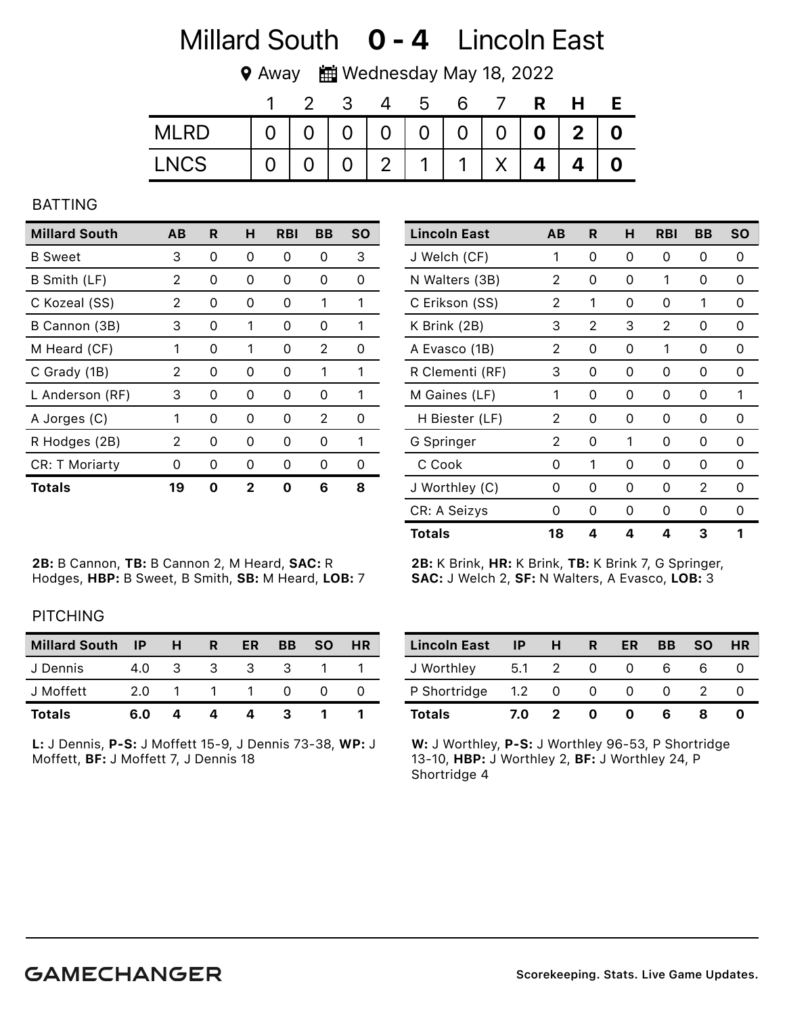# Millard South **0 - 4** Lincoln East

**♥ Away 齟 Wednesday May 18, 2022** 

|             |          | - 3 |                 | <u>ာ</u>                          |              | R. | H |  |
|-------------|----------|-----|-----------------|-----------------------------------|--------------|----|---|--|
| <b>MLRD</b> | $\Omega$ |     |                 | 0   0   0   0   0   0   0   2   0 |              |    |   |  |
| <b>LNCS</b> |          |     | $0 \mid 2 \mid$ | $\mathbf 1$                       | $\mathbf{1}$ | 4  |   |  |

## BATTING

| <b>Millard South</b>  | AВ | R | н | RBI | BВ | SΟ |
|-----------------------|----|---|---|-----|----|----|
| <b>B</b> Sweet        | 3  | 0 | 0 | 0   | 0  | 3  |
| B Smith (LF)          | 2  | 0 | 0 | 0   | O  | Ω  |
| C Kozeal (SS)         | 2  | 0 | Ω | 0   | 1  | 1  |
| B Cannon (3B)         | З  | 0 | 1 | 0   | 0  | 1  |
| M Heard (CF)          | 1  | 0 | 1 | 0   | 2  | O  |
| C Grady (1B)          | 2  | 0 | O | O   | 1  | 1  |
| L Anderson (RF)       | 3  | 0 | 0 | 0   | O  | 1  |
| A Jorges (C)          | 1  | ∩ | O | O   | 2  | ∩  |
| R Hodges (2B)         | 2  | Ω | 0 | O   | O  | 1  |
| <b>CR: T Moriarty</b> | O  | O | O | O   | O  | O  |
| Totals                | 19 | n | 2 |     | 6  | 8  |

2B: B Cannon, TB: B Cannon 2, M Heard Hodges, HBP: B Sweet, B Smith, SB: M

| <sup>.</sup> d, <b>SAC:</b> R | 2B: K Brink, HR: K Brink, TB: K Brink 7, G Springer,   |
|-------------------------------|--------------------------------------------------------|
| 1 Heard, <b>LOB:</b> 7        | <b>SAC: J Welch 2, SF: N Walters, A Evasco, LOB: 3</b> |
|                               |                                                        |

### **PITCHING**

| <b>Millard South</b> | <b>IP</b> | H  | R | ER | BB | <b>SO</b> | <b>HR</b> |
|----------------------|-----------|----|---|----|----|-----------|-----------|
| J Dennis             | 4.0       | -3 | 3 | 3  | 3  |           |           |
| J Moffett            | 2.0       |    |   |    |    |           |           |
| <b>Totals</b>        | 6.0       |    |   |    |    |           |           |

L: J Dennis, P-S: J Moffett 15-9, J Dennis 73-38, WP: J Moffett, BF: J Moffett 7, J Dennis 18

| <b>Lincoln East</b> | -IP    | H        | R. | ER | BB | <b>SO</b> | <b>HR</b> |
|---------------------|--------|----------|----|----|----|-----------|-----------|
| J Worthley          | -5.1   |          |    |    |    |           |           |
| P Shortridge        | $-1.2$ | $\Omega$ | O  |    |    |           |           |
| <b>Totals</b>       | 7.0    |          |    |    |    |           |           |

W: J Worthley, P-S: J Worthley 96-53, P Shortridge 13-10, HBP: J Worthley 2, BF: J Worthley 24, P Shortridge 4

| Lincoln East    | AВ | R | н | <b>RBI</b> | BВ | <b>SO</b> |
|-----------------|----|---|---|------------|----|-----------|
| J Welch (CF)    | 1  | 0 | 0 | 0          | 0  | 0         |
| N Walters (3B)  | 2  | 0 | 0 | 1          | 0  | 0         |
| C Erikson (SS)  | 2  | 1 | 0 | 0          | 1  | 0         |
| K Brink (2B)    | 3  | 2 | 3 | 2          | 0  | 0         |
| A Evasco (1B)   | 2  | 0 | 0 | 1          | 0  | 0         |
| R Clementi (RF) | 3  | 0 | 0 | 0          | 0  | 0         |
| M Gaines (LF)   | 1  | 0 | 0 | 0          | 0  | 1         |
| H Biester (LF)  | 2  | 0 | 0 | 0          | 0  | 0         |
| G Springer      | 2  | 0 | 1 | 0          | 0  | 0         |
| C Cook          | 0  | 1 | 0 | 0          | 0  | 0         |
| J Worthley (C)  | Ω  | 0 | 0 | 0          | 2  | 0         |
| CR: A Seizys    | Ω  | 0 | 0 | 0          | 0  | 0         |
| <b>Totals</b>   | 18 | 4 | 4 | 4          | З  | 1         |